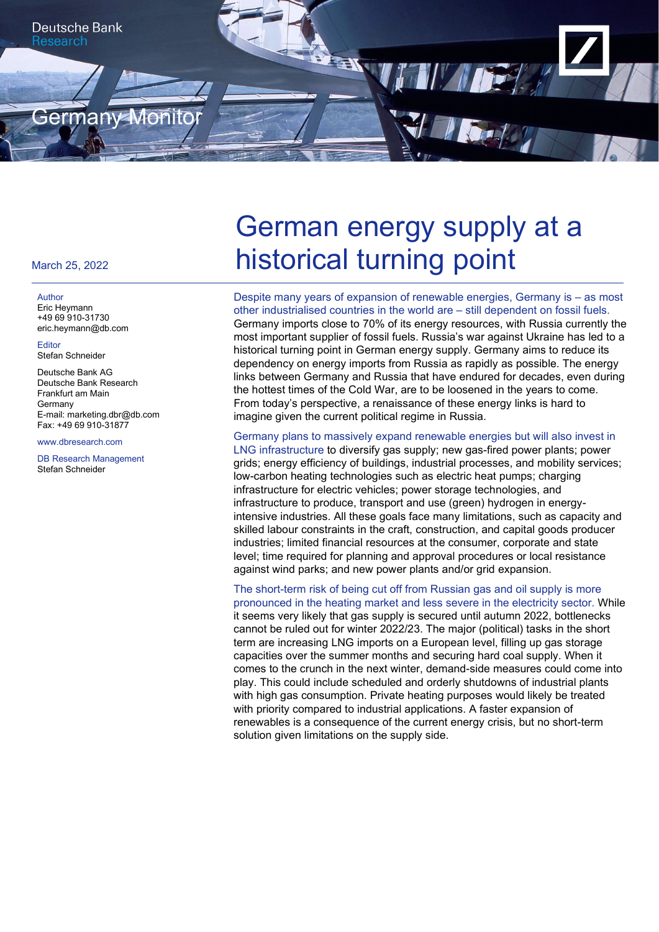

#### March 25, 2022

#### Author

Eric Heymann +49 69 910-31730 eric.heymann@db.com

Editor Stefan Schneider

Deutsche Bank AG Deutsche Bank Research Frankfurt am Main **Germany** E-mail: marketing.dbr@db.com Fax: +49 69 910-31877

www.dbresearch.com

DB Research Management Stefan Schneider

# German energy supply at a historical turning point

Despite many years of expansion of renewable energies, Germany is – as most other industrialised countries in the world are – still dependent on fossil fuels. Germany imports close to 70% of its energy resources, with Russia currently the most important supplier of fossil fuels. Russia's war against Ukraine has led to a historical turning point in German energy supply. Germany aims to reduce its dependency on energy imports from Russia as rapidly as possible. The energy links between Germany and Russia that have endured for decades, even during the hottest times of the Cold War, are to be loosened in the years to come. From today's perspective, a renaissance of these energy links is hard to imagine given the current political regime in Russia.

Germany plans to massively expand renewable energies but will also invest in LNG infrastructure to diversify gas supply; new gas-fired power plants; power grids; energy efficiency of buildings, industrial processes, and mobility services; low-carbon heating technologies such as electric heat pumps; charging infrastructure for electric vehicles; power storage technologies, and infrastructure to produce, transport and use (green) hydrogen in energyintensive industries. All these goals face many limitations, such as capacity and skilled labour constraints in the craft, construction, and capital goods producer industries; limited financial resources at the consumer, corporate and state level; time required for planning and approval procedures or local resistance against wind parks; and new power plants and/or grid expansion.

The short-term risk of being cut off from Russian gas and oil supply is more pronounced in the heating market and less severe in the electricity sector. While it seems very likely that gas supply is secured until autumn 2022, bottlenecks cannot be ruled out for winter 2022/23. The major (political) tasks in the short term are increasing LNG imports on a European level, filling up gas storage capacities over the summer months and securing hard coal supply. When it comes to the crunch in the next winter, demand-side measures could come into play. This could include scheduled and orderly shutdowns of industrial plants with high gas consumption. Private heating purposes would likely be treated with priority compared to industrial applications. A faster expansion of renewables is a consequence of the current energy crisis, but no short-term solution given limitations on the supply side.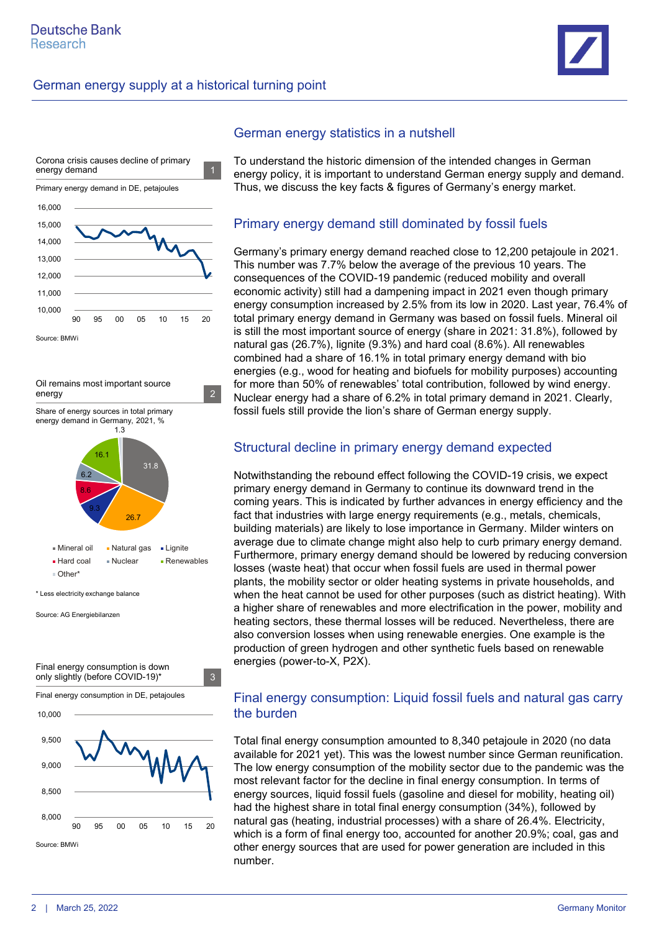





Source: AG Energiebilanzen



#### German energy statistics in a nutshell

To understand the historic dimension of the intended changes in German energy policy, it is important to understand German energy supply and demand. Thus, we discuss the key facts & figures of Germany's energy market.

#### Primary energy demand still dominated by fossil fuels

Germany's primary energy demand reached close to 12,200 petajoule in 2021. This number was 7.7% below the average of the previous 10 years. The consequences of the COVID-19 pandemic (reduced mobility and overall economic activity) still had a dampening impact in 2021 even though primary energy consumption increased by 2.5% from its low in 2020. Last year, 76.4% of total primary energy demand in Germany was based on fossil fuels. Mineral oil is still the most important source of energy (share in 2021: 31.8%), followed by natural gas (26.7%), lignite (9.3%) and hard coal (8.6%). All renewables combined had a share of 16.1% in total primary energy demand with bio energies (e.g., wood for heating and biofuels for mobility purposes) accounting for more than 50% of renewables' total contribution, followed by wind energy. Nuclear energy had a share of 6.2% in total primary demand in 2021. Clearly, fossil fuels still provide the lion's share of German energy supply.

#### Structural decline in primary energy demand expected

Notwithstanding the rebound effect following the COVID-19 crisis, we expect primary energy demand in Germany to continue its downward trend in the coming years. This is indicated by further advances in energy efficiency and the fact that industries with large energy requirements (e.g., metals, chemicals, building materials) are likely to lose importance in Germany. Milder winters on average due to climate change might also help to curb primary energy demand. Furthermore, primary energy demand should be lowered by reducing conversion losses (waste heat) that occur when fossil fuels are used in thermal power plants, the mobility sector or older heating systems in private households, and when the heat cannot be used for other purposes (such as district heating). With a higher share of renewables and more electrification in the power, mobility and heating sectors, these thermal losses will be reduced. Nevertheless, there are also conversion losses when using renewable energies. One example is the production of green hydrogen and other synthetic fuels based on renewable energies (power-to-X, P2X).

#### Final energy consumption: Liquid fossil fuels and natural gas carry the burden

Total final energy consumption amounted to 8,340 petajoule in 2020 (no data available for 2021 yet). This was the lowest number since German reunification. The low energy consumption of the mobility sector due to the pandemic was the most relevant factor for the decline in final energy consumption. In terms of energy sources, liquid fossil fuels (gasoline and diesel for mobility, heating oil) had the highest share in total final energy consumption (34%), followed by natural gas (heating, industrial processes) with a share of 26.4%. Electricity, which is a form of final energy too, accounted for another 20.9%; coal, gas and other energy sources that are used for power generation are included in this number.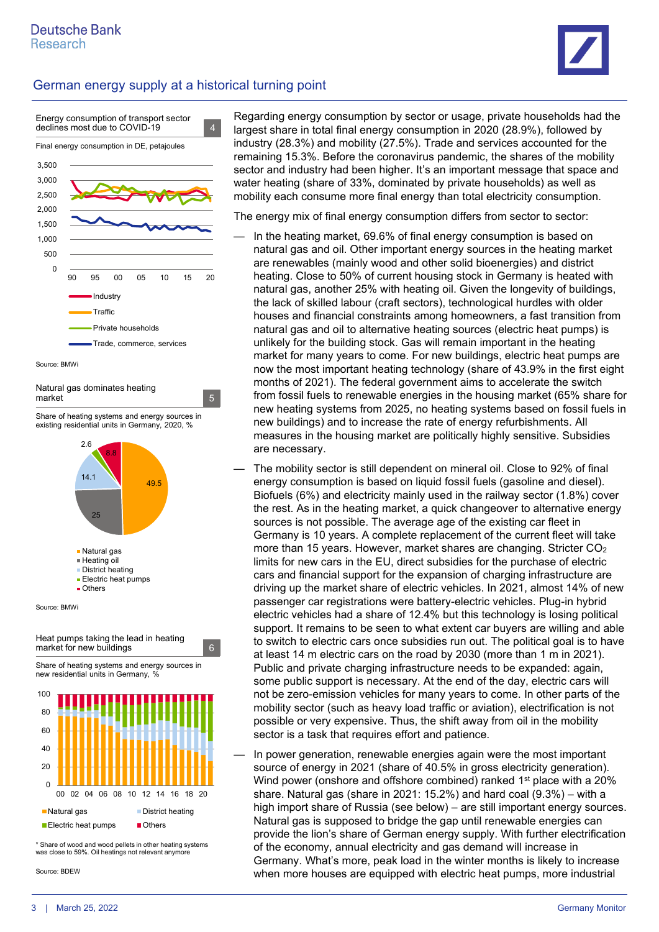



| Natural gas dominates heating |  |
|-------------------------------|--|
| market                        |  |

Share of heating systems and energy sources in existing residential units in Germany, 2020, %





\* Share of wood and wood pellets in other heating systems was close to 59%. Oil heatings not relevant anymore

Source: BDEW

Regarding energy consumption by sector or usage, private households had the largest share in total final energy consumption in 2020 (28.9%), followed by industry (28.3%) and mobility (27.5%). Trade and services accounted for the remaining 15.3%. Before the coronavirus pandemic, the shares of the mobility sector and industry had been higher. It's an important message that space and water heating (share of 33%, dominated by private households) as well as mobility each consume more final energy than total electricity consumption.

The energy mix of final energy consumption differs from sector to sector:

- In the heating market, 69.6% of final energy consumption is based on natural gas and oil. Other important energy sources in the heating market are renewables (mainly wood and other solid bioenergies) and district heating. Close to 50% of current housing stock in Germany is heated with natural gas, another 25% with heating oil. Given the longevity of buildings, the lack of skilled labour (craft sectors), technological hurdles with older houses and financial constraints among homeowners, a fast transition from natural gas and oil to alternative heating sources (electric heat pumps) is unlikely for the building stock. Gas will remain important in the heating market for many years to come. For new buildings, electric heat pumps are now the most important heating technology (share of 43.9% in the first eight months of 2021). The federal government aims to accelerate the switch from fossil fuels to renewable energies in the housing market (65% share for new heating systems from 2025, no heating systems based on fossil fuels in new buildings) and to increase the rate of energy refurbishments. All measures in the housing market are politically highly sensitive. Subsidies are necessary.
- The mobility sector is still dependent on mineral oil. Close to 92% of final energy consumption is based on liquid fossil fuels (gasoline and diesel). Biofuels (6%) and electricity mainly used in the railway sector (1.8%) cover the rest. As in the heating market, a quick changeover to alternative energy sources is not possible. The average age of the existing car fleet in Germany is 10 years. A complete replacement of the current fleet will take more than 15 years. However, market shares are changing. Stricter CO2 limits for new cars in the EU, direct subsidies for the purchase of electric cars and financial support for the expansion of charging infrastructure are driving up the market share of electric vehicles. In 2021, almost 14% of new passenger car registrations were battery-electric vehicles. Plug-in hybrid electric vehicles had a share of 12.4% but this technology is losing political support. It remains to be seen to what extent car buyers are willing and able to switch to electric cars once subsidies run out. The political goal is to have at least 14 m electric cars on the road by 2030 (more than 1 m in 2021). Public and private charging infrastructure needs to be expanded: again, some public support is necessary. At the end of the day, electric cars will not be zero-emission vehicles for many years to come. In other parts of the mobility sector (such as heavy load traffic or aviation), electrification is not possible or very expensive. Thus, the shift away from oil in the mobility sector is a task that requires effort and patience.
- In power generation, renewable energies again were the most important source of energy in 2021 (share of 40.5% in gross electricity generation). Wind power (onshore and offshore combined) ranked 1<sup>st</sup> place with a 20% share. Natural gas (share in 2021: 15.2%) and hard coal (9.3%) – with a high import share of Russia (see below) – are still important energy sources. Natural gas is supposed to bridge the gap until renewable energies can provide the lion's share of German energy supply. With further electrification of the economy, annual electricity and gas demand will increase in Germany. What's more, peak load in the winter months is likely to increase when more houses are equipped with electric heat pumps, more industrial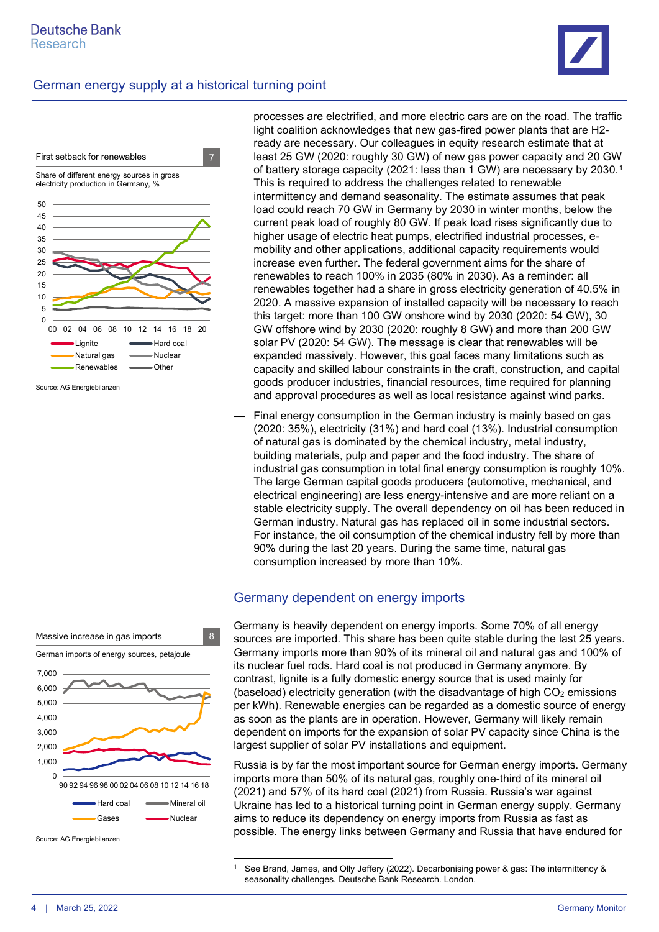



Source: AG Energiebilanzen

processes are electrified, and more electric cars are on the road. The traffic light coalition acknowledges that new gas-fired power plants that are H2 ready are necessary. Our colleagues in equity research estimate that at least 25 GW (2020: roughly 30 GW) of new gas power capacity and 20 GW of battery storage capacity (2021: less than 1 GW) are necessary by 2030.[1](#page-3-0) This is required to address the challenges related to renewable intermittency and demand seasonality. The estimate assumes that peak load could reach 70 GW in Germany by 2030 in winter months, below the current peak load of roughly 80 GW. If peak load rises significantly due to higher usage of electric heat pumps, electrified industrial processes, emobility and other applications, additional capacity requirements would increase even further. The federal government aims for the share of renewables to reach 100% in 2035 (80% in 2030). As a reminder: all renewables together had a share in gross electricity generation of 40.5% in 2020. A massive expansion of installed capacity will be necessary to reach this target: more than 100 GW onshore wind by 2030 (2020: 54 GW), 30 GW offshore wind by 2030 (2020: roughly 8 GW) and more than 200 GW solar PV (2020: 54 GW). The message is clear that renewables will be expanded massively. However, this goal faces many limitations such as capacity and skilled labour constraints in the craft, construction, and capital goods producer industries, financial resources, time required for planning and approval procedures as well as local resistance against wind parks.

— Final energy consumption in the German industry is mainly based on gas (2020: 35%), electricity (31%) and hard coal (13%). Industrial consumption of natural gas is dominated by the chemical industry, metal industry, building materials, pulp and paper and the food industry. The share of industrial gas consumption in total final energy consumption is roughly 10%. The large German capital goods producers (automotive, mechanical, and electrical engineering) are less energy-intensive and are more reliant on a stable electricity supply. The overall dependency on oil has been reduced in German industry. Natural gas has replaced oil in some industrial sectors. For instance, the oil consumption of the chemical industry fell by more than 90% during the last 20 years. During the same time, natural gas consumption increased by more than 10%.

#### Germany dependent on energy imports

Germany is heavily dependent on energy imports. Some 70% of all energy sources are imported. This share has been quite stable during the last 25 years. Germany imports more than 90% of its mineral oil and natural gas and 100% of its nuclear fuel rods. Hard coal is not produced in Germany anymore. By contrast, lignite is a fully domestic energy source that is used mainly for (baseload) electricity generation (with the disadvantage of high  $CO<sub>2</sub>$  emissions per kWh). Renewable energies can be regarded as a domestic source of energy as soon as the plants are in operation. However, Germany will likely remain dependent on imports for the expansion of solar PV capacity since China is the largest supplier of solar PV installations and equipment.

Russia is by far the most important source for German energy imports. Germany imports more than 50% of its natural gas, roughly one-third of its mineral oil (2021) and 57% of its hard coal (2021) from Russia. Russia's war against Ukraine has led to a historical turning point in German energy supply. Germany aims to reduce its dependency on energy imports from Russia as fast as possible. The energy links between Germany and Russia that have endured for

See Brand, James, and Olly Jeffery (2022). Decarbonising power & gas: The intermittency & seasonality challenges. Deutsche Bank Research. London.

|       | Massive increase in gas imports              | 8 |
|-------|----------------------------------------------|---|
|       | German imports of energy sources, petajoule  |   |
| 7,000 |                                              |   |
| 6,000 |                                              |   |
| 5,000 |                                              |   |
| 4,000 |                                              |   |
| 3,000 |                                              |   |
| 2,000 |                                              |   |
| 1,000 |                                              |   |
| n     | 90 92 94 96 98 00 02 04 06 08 10 12 14 16 18 |   |
|       | Mineral oil<br>Hard coal                     |   |
|       | Nuclear<br>Gases                             |   |

<span id="page-3-0"></span>Source: AG Energiebilanzen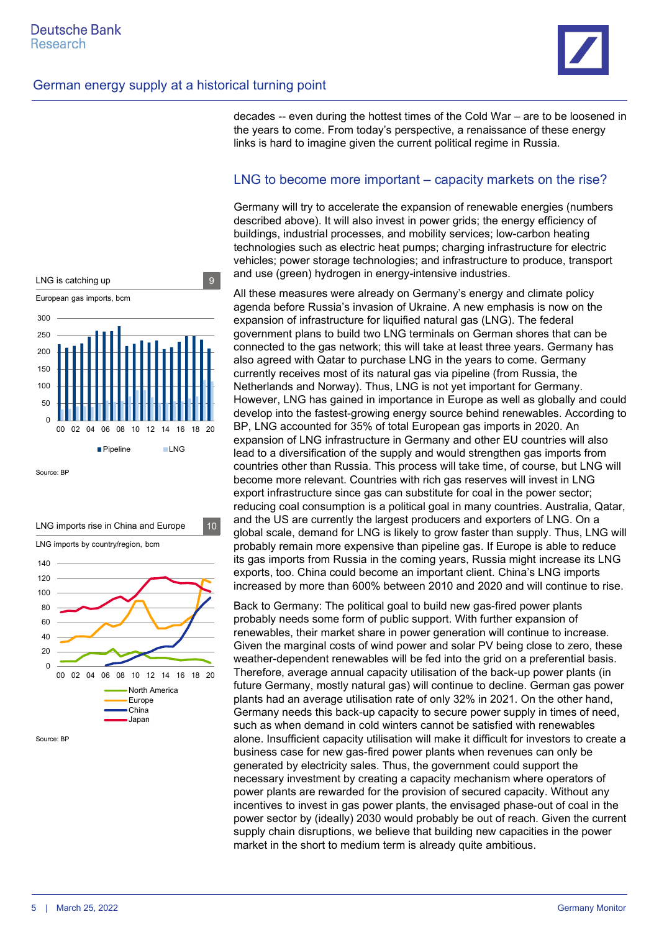

decades -- even during the hottest times of the Cold War – are to be loosened in the years to come. From today's perspective, a renaissance of these energy links is hard to imagine given the current political regime in Russia.

#### LNG to become more important – capacity markets on the rise?

Germany will try to accelerate the expansion of renewable energies (numbers described above). It will also invest in power grids; the energy efficiency of buildings, industrial processes, and mobility services; low-carbon heating technologies such as electric heat pumps; charging infrastructure for electric vehicles; power storage technologies; and infrastructure to produce, transport and use (green) hydrogen in energy-intensive industries.

All these measures were already on Germany's energy and climate policy agenda before Russia's invasion of Ukraine. A new emphasis is now on the expansion of infrastructure for liquified natural gas (LNG). The federal government plans to build two LNG terminals on German shores that can be connected to the gas network; this will take at least three years. Germany has also agreed with Qatar to purchase LNG in the years to come. Germany currently receives most of its natural gas via pipeline (from Russia, the Netherlands and Norway). Thus, LNG is not yet important for Germany. However, LNG has gained in importance in Europe as well as globally and could develop into the fastest-growing energy source behind renewables. According to BP, LNG accounted for 35% of total European gas imports in 2020. An expansion of LNG infrastructure in Germany and other EU countries will also lead to a diversification of the supply and would strengthen gas imports from countries other than Russia. This process will take time, of course, but LNG will become more relevant. Countries with rich gas reserves will invest in LNG export infrastructure since gas can substitute for coal in the power sector; reducing coal consumption is a political goal in many countries. Australia, Qatar, and the US are currently the largest producers and exporters of LNG. On a global scale, demand for LNG is likely to grow faster than supply. Thus, LNG will probably remain more expensive than pipeline gas. If Europe is able to reduce its gas imports from Russia in the coming years, Russia might increase its LNG exports, too. China could become an important client. China's LNG imports increased by more than 600% between 2010 and 2020 and will continue to rise.

Back to Germany: The political goal to build new gas-fired power plants probably needs some form of public support. With further expansion of renewables, their market share in power generation will continue to increase. Given the marginal costs of wind power and solar PV being close to zero, these weather-dependent renewables will be fed into the grid on a preferential basis. Therefore, average annual capacity utilisation of the back-up power plants (in future Germany, mostly natural gas) will continue to decline. German gas power plants had an average utilisation rate of only 32% in 2021. On the other hand, Germany needs this back-up capacity to secure power supply in times of need, such as when demand in cold winters cannot be satisfied with renewables alone. Insufficient capacity utilisation will make it difficult for investors to create a business case for new gas-fired power plants when revenues can only be generated by electricity sales. Thus, the government could support the necessary investment by creating a capacity mechanism where operators of power plants are rewarded for the provision of secured capacity. Without any incentives to invest in gas power plants, the envisaged phase-out of coal in the power sector by (ideally) 2030 would probably be out of reach. Given the current supply chain disruptions, we believe that building new capacities in the power market in the short to medium term is already quite ambitious.



 $\Omega$  $20$ 40 60 80 100 120 140 00 02 04 06 08 10 12 14 16 18 20 North America **Europe** China Japar LNG imports rise in China and Europe 10 LNG imports by country/region, bcm

Source: BP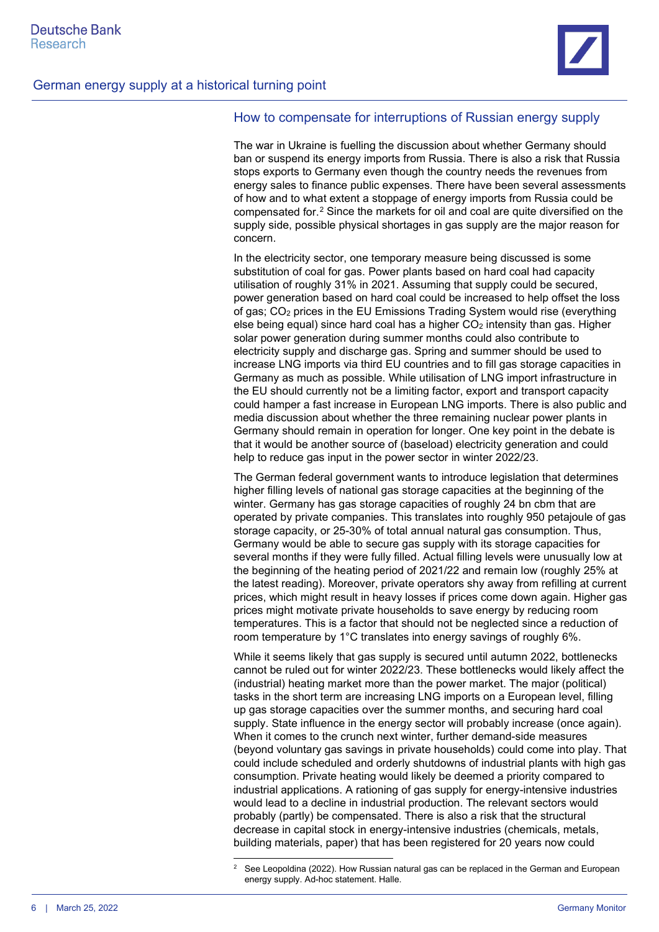

#### How to compensate for interruptions of Russian energy supply

The war in Ukraine is fuelling the discussion about whether Germany should ban or suspend its energy imports from Russia. There is also a risk that Russia stops exports to Germany even though the country needs the revenues from energy sales to finance public expenses. There have been several assessments of how and to what extent a stoppage of energy imports from Russia could be compensated for.[2](#page-5-0) Since the markets for oil and coal are quite diversified on the supply side, possible physical shortages in gas supply are the major reason for concern.

In the electricity sector, one temporary measure being discussed is some substitution of coal for gas. Power plants based on hard coal had capacity utilisation of roughly 31% in 2021. Assuming that supply could be secured, power generation based on hard coal could be increased to help offset the loss of gas; CO2 prices in the EU Emissions Trading System would rise (everything else being equal) since hard coal has a higher  $CO<sub>2</sub>$  intensity than gas. Higher solar power generation during summer months could also contribute to electricity supply and discharge gas. Spring and summer should be used to increase LNG imports via third EU countries and to fill gas storage capacities in Germany as much as possible. While utilisation of LNG import infrastructure in the EU should currently not be a limiting factor, export and transport capacity could hamper a fast increase in European LNG imports. There is also public and media discussion about whether the three remaining nuclear power plants in Germany should remain in operation for longer. One key point in the debate is that it would be another source of (baseload) electricity generation and could help to reduce gas input in the power sector in winter 2022/23.

The German federal government wants to introduce legislation that determines higher filling levels of national gas storage capacities at the beginning of the winter. Germany has gas storage capacities of roughly 24 bn cbm that are operated by private companies. This translates into roughly 950 petajoule of gas storage capacity, or 25-30% of total annual natural gas consumption. Thus, Germany would be able to secure gas supply with its storage capacities for several months if they were fully filled. Actual filling levels were unusually low at the beginning of the heating period of 2021/22 and remain low (roughly 25% at the latest reading). Moreover, private operators shy away from refilling at current prices, which might result in heavy losses if prices come down again. Higher gas prices might motivate private households to save energy by reducing room temperatures. This is a factor that should not be neglected since a reduction of room temperature by 1°C translates into energy savings of roughly 6%.

While it seems likely that gas supply is secured until autumn 2022, bottlenecks cannot be ruled out for winter 2022/23. These bottlenecks would likely affect the (industrial) heating market more than the power market. The major (political) tasks in the short term are increasing LNG imports on a European level, filling up gas storage capacities over the summer months, and securing hard coal supply. State influence in the energy sector will probably increase (once again). When it comes to the crunch next winter, further demand-side measures (beyond voluntary gas savings in private households) could come into play. That could include scheduled and orderly shutdowns of industrial plants with high gas consumption. Private heating would likely be deemed a priority compared to industrial applications. A rationing of gas supply for energy-intensive industries would lead to a decline in industrial production. The relevant sectors would probably (partly) be compensated. There is also a risk that the structural decrease in capital stock in energy-intensive industries (chemicals, metals, building materials, paper) that has been registered for 20 years now could

<span id="page-5-0"></span><sup>&</sup>lt;sup>2</sup> See Leopoldina (2022). How Russian natural gas can be replaced in the German and European energy supply. Ad-hoc statement. Halle.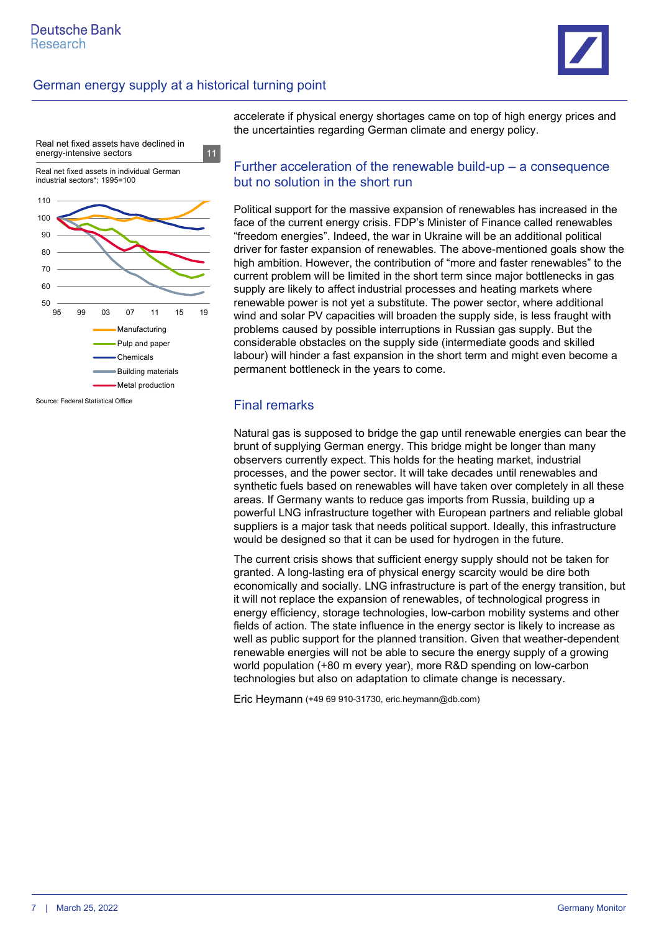



accelerate if physical energy shortages came on top of high energy prices and the uncertainties regarding German climate and energy policy.

#### Further acceleration of the renewable build-up – a consequence but no solution in the short run

Political support for the massive expansion of renewables has increased in the face of the current energy crisis. FDP's Minister of Finance called renewables "freedom energies". Indeed, the war in Ukraine will be an additional political driver for faster expansion of renewables. The above-mentioned goals show the high ambition. However, the contribution of "more and faster renewables" to the current problem will be limited in the short term since major bottlenecks in gas supply are likely to affect industrial processes and heating markets where renewable power is not yet a substitute. The power sector, where additional wind and solar PV capacities will broaden the supply side, is less fraught with problems caused by possible interruptions in Russian gas supply. But the considerable obstacles on the supply side (intermediate goods and skilled labour) will hinder a fast expansion in the short term and might even become a permanent bottleneck in the years to come.

#### Final remarks

Natural gas is supposed to bridge the gap until renewable energies can bear the brunt of supplying German energy. This bridge might be longer than many observers currently expect. This holds for the heating market, industrial processes, and the power sector. It will take decades until renewables and synthetic fuels based on renewables will have taken over completely in all these areas. If Germany wants to reduce gas imports from Russia, building up a powerful LNG infrastructure together with European partners and reliable global suppliers is a major task that needs political support. Ideally, this infrastructure would be designed so that it can be used for hydrogen in the future.

The current crisis shows that sufficient energy supply should not be taken for granted. A long-lasting era of physical energy scarcity would be dire both economically and socially. LNG infrastructure is part of the energy transition, but it will not replace the expansion of renewables, of technological progress in energy efficiency, storage technologies, low-carbon mobility systems and other fields of action. The state influence in the energy sector is likely to increase as well as public support for the planned transition. Given that weather-dependent renewable energies will not be able to secure the energy supply of a growing world population (+80 m every year), more R&D spending on low-carbon technologies but also on adaptation to climate change is necessary.

Eric Heymann (+49 69 910-31730, eric.heymann@db.com)